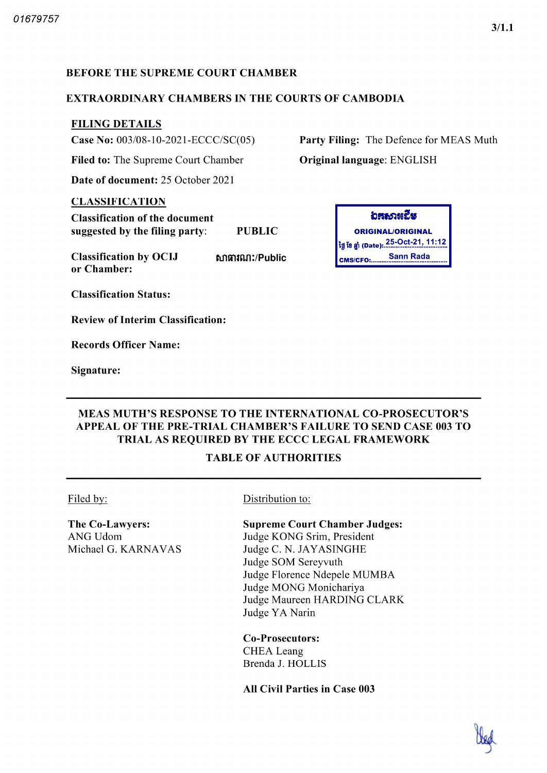### BEFORE THE SUPREME COURT CHAMBER

#### EXTRAORDINARY CHAMBERS IN THE COURTS OF CAMBODIA

## FILING DETAILS

Case No:  $003/08 - 10 - 2021 - ECCC/SC(05)$ 

Filed to: The Supreme Court Chamber

Date of document: 25 October 2021

#### CLASSIFICATION

Classification of the document suggested by the filing party: PUBLIC **CONIGINAL ORIGINAL ORIGINAL** 

Classification by OCIJ that the function of the change of the consumers of the consumers of the consumers of the consumers of the consumers of the consumers of the consumer of the consumer of the consumer of the consumer o or Chamber fifltntfinr Public

Classification Status

Review of Interim Classification

Records Officer Name

Signature

Party Filing: The Defence for MEAS Muth Original language: ENGLISH



## MEAS MUTH'S RESPONSE TO THE INTERNATIONAL CO PROSECUTOR'S APPEAL OF THE PRE-TRIAL CHAMBER'S FAILURE TO SEND CASE 003 TO TRIAL AS REQUIRED BY THE ECCC LEGAL FRAMEWORK

#### TABLE OF AUTHORITIES

The Co-Lawyers: ANG Udom Michael G. KARNAVAS

#### Filed by: Distribution to:

#### Supreme Court Chamber Judges

Judge KONG Srim, President Judge C. N. JAYASINGHE Judge SOM Sereyvuth Judge Florence Ndepele MUMBA Judge MONG Monichariya Judge Maureen HARDING CLARK Judge YA Narin

Co-Prosecutors: CHEA Leang Brenda J. HOLLIS

All Civil Parties in Case 003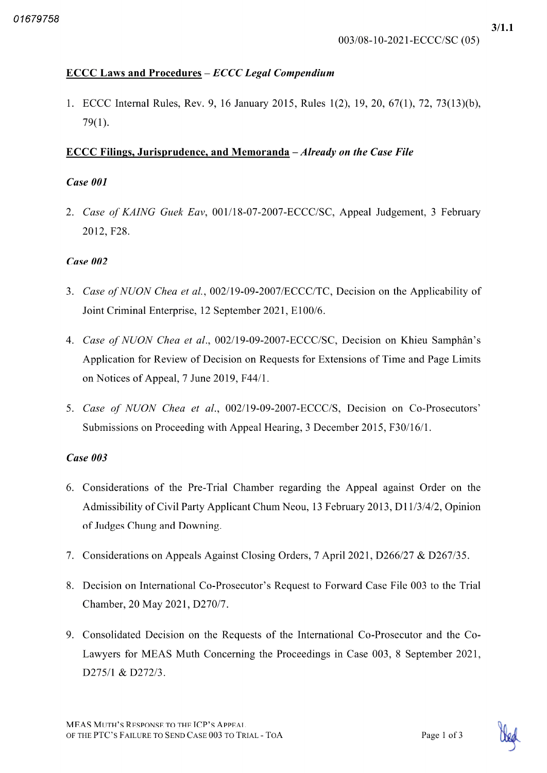# $\text{ECCC}$  Laws and Procedures –  $\text{ECCC}$  Legal Compendium

1. ECCC Internal Rules, Rev. 9, 16 January 2015, Rules 1(2), 19, 20, 67(1), 72, 73(13)(b),  $79(1)$ .

# ECCC Filings, Jurisprudence, and Memoranda  $-A$ *lready on the Case File*

# Case 001

2. Case of KAING Guek Eav, 001/18-07-2007-ECCC/SC, Appeal Judgement, 3 February 2012, F28.

# Case 002

- 3. Case of NUON Chea et al., 002/19-09-2007/ECCC/TC, Decision on the Applicability of Joint Criminal Enterprise, 12 September 2021, E100/6.
- 4. Case of NUON Chea et al., 002/19-09-2007-ECCC/SC, Decision on Khieu Samphân's Application for Review of Decision on Requests for Extensions of Time and Page Limits on Notices of Appeal,  $7$  June 2019, F44 $/1$ .
- 5. Case of NUON Chea et al., 002/19-09-2007-ECCC/S, Decision on Co-Prosecutors' Submissions on Proceeding with Appeal Hearing, 3 December 2015, F30/16/1.

# Case 003

- Considerations of the Pre Trial Chamber regarding the Appeal against Order on the Admissibility of Civil Party Applicant Chum Neou, 13 February 2013, D11/3/4/2, Opinion of Judges Chung and Downing
- 7. Considerations on Appeals Against Closing Orders, 7 April 2021, D266/27 & D267/35.
- Decision on International Co Prosecutor's Request to Forward Case File 003 to the Trial Chamber, 20 May 2021, D270/7.
- 9. Consolidated Decision on the Requests of the International Co-Prosecutor and the Co-Lawyers for MEAS Muth Concerning the Proceedings in Case 003, 8 September 2021, D275/1 & D272/3.

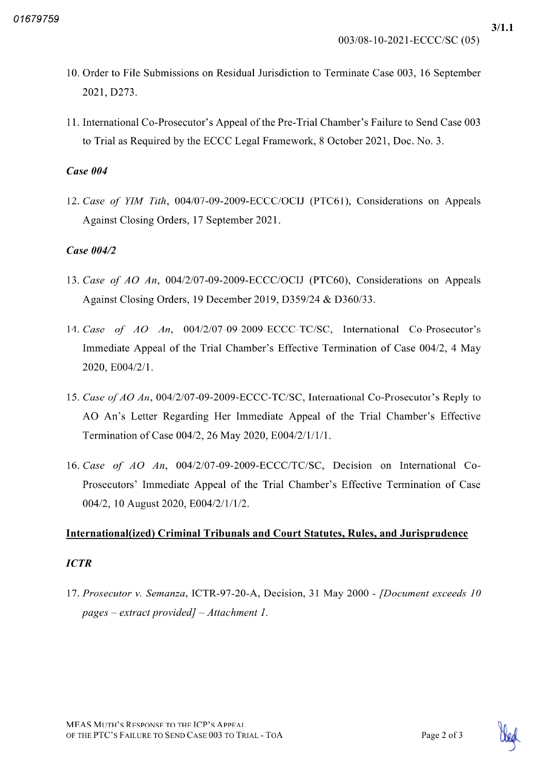$3/1.1$ 

- 10 Order to File Submissions on Residual Jurisdiction to Terminate Case 003 16 September 2021, D273.
- <sup>11</sup> International Co Prosecutor's Appeal of the Pre Trial Chamber's Failure to Send Case 003 to Trial as Required by the ECCC Legal Framework, 8 October 2021, Doc. No. 3.

## Case 004

12. Case of YIM Tith, 004/07-09-2009-ECCC/OCIJ (PTC61), Considerations on Appeals Against Closing Orders, 17 September 2021.

## Case 004/2

- 13. Case of  $AO \ An$ ,  $004/2/07-09-2009-ECCC/OCIJ$  (PTC60), Considerations on Appeals Against Closing Orders, 19 December 2019, D359/24 & D360/33.
- 14. Case of  $AO$  An,  $004/2/07-09-2009-ECCC-TC/SC$ , International Co-Prosecutor's Immediate Appeal of the Trial Chamber's Effective Termination of Case 004/2, 4 May 2020, E004/2/1.
- 15. Case of AO An, 004/2/07-09-2009-ECCC-TC/SC, International Co-Prosecutor's Reply to AO An's Letter Regarding Her Immediate Appeal of the Trial Chamber's Effective Termination of Case 004/2, 26 May 2020, E004/2/1/1/1.
- 16. Case of  $AO$  An,  $004/2/07-09-2009-ECCC/TC/SC$ , Decision on International Co-Prosecutors' Immediate Appeal of the Trial Chamber's Effective Termination of Case 004/2, 10 August 2020, E004/2/1/1/2.

# International (ized) Criminal Tribunals and Court Statutes, Rules, and Jurisprudence

## **ICTR**

17. Prosecutor v. Semanza, ICTR-97-20-A, Decision, 31 May 2000 - [Document exceeds 10 pages extract provided] Attachment